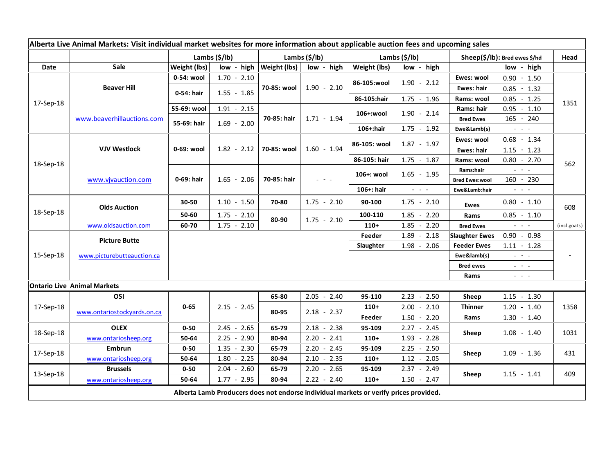| Alberta Live Animal Markets: Visit individual market websites for more information about applicable auction fees and upcoming sales |                                    |                                 |                 |                |               |                              |                                             |                                                                                                                                                                                                                                                                                                                                                                                                                                                                                                                                                |                                                                                                                           |              |
|-------------------------------------------------------------------------------------------------------------------------------------|------------------------------------|---------------------------------|-----------------|----------------|---------------|------------------------------|---------------------------------------------|------------------------------------------------------------------------------------------------------------------------------------------------------------------------------------------------------------------------------------------------------------------------------------------------------------------------------------------------------------------------------------------------------------------------------------------------------------------------------------------------------------------------------------------------|---------------------------------------------------------------------------------------------------------------------------|--------------|
|                                                                                                                                     |                                    | Lambs $(\frac{\xi}{\text{lb}})$ |                 | Lambs (\$/lb)  |               | Lambs $(\frac{\xi}{\theta})$ |                                             | Sheep(\$/lb): Bred ewes \$/hd                                                                                                                                                                                                                                                                                                                                                                                                                                                                                                                  |                                                                                                                           | Head         |
| Date                                                                                                                                | Sale                               | Weight (lbs)                    | low - high      | Weight (lbs)   | low - high    | Weight (lbs)                 | low - high                                  |                                                                                                                                                                                                                                                                                                                                                                                                                                                                                                                                                | low - high                                                                                                                |              |
| 17-Sep-18                                                                                                                           | <b>Beaver Hill</b>                 | 0-54: wool                      | $1.70 - 2.10$   | 70-85: wool    | $1.90 - 2.10$ |                              | $1.90 - 2.12$                               | Ewes: wool                                                                                                                                                                                                                                                                                                                                                                                                                                                                                                                                     | $0.90 - 1.50$                                                                                                             | 1351         |
|                                                                                                                                     |                                    | 0-54: hair                      | $1.55 - 1.85$   |                |               | 86-105:wool                  |                                             | Ewes: hair                                                                                                                                                                                                                                                                                                                                                                                                                                                                                                                                     | $0.85 - 1.32$                                                                                                             |              |
|                                                                                                                                     |                                    |                                 |                 |                |               | 86-105:hair                  | $1.75 - 1.96$                               | Rams: wool                                                                                                                                                                                                                                                                                                                                                                                                                                                                                                                                     | $0.85 - 1.25$                                                                                                             |              |
|                                                                                                                                     | www.beaverhillauctions.com         | 55-69: wool                     | $1.91 - 2.15$   | 70-85: hair    | $1.71 - 1.94$ | 106+:wool                    | $1.90 - 2.14$                               | Rams: hair                                                                                                                                                                                                                                                                                                                                                                                                                                                                                                                                     | $0.95 - 1.10$                                                                                                             |              |
|                                                                                                                                     |                                    | 55-69: hair                     | $1.69 - 2.00$   |                |               |                              |                                             | <b>Bred Ewes</b>                                                                                                                                                                                                                                                                                                                                                                                                                                                                                                                               | 165 - 240                                                                                                                 |              |
|                                                                                                                                     |                                    |                                 |                 |                |               | 106+:hair                    | $1.75 - 1.92$                               | Ewe&Lamb(s)                                                                                                                                                                                                                                                                                                                                                                                                                                                                                                                                    |                                                                                                                           |              |
| 18-Sep-18                                                                                                                           | <b>VJV Westlock</b>                | 0-69: wool                      | $1.82 - 2.12$   | 70-85: wool    | $1.60 - 1.94$ | 86-105: wool                 | $1.87 - 1.97$                               | Ewes: wool                                                                                                                                                                                                                                                                                                                                                                                                                                                                                                                                     | $0.68 - 1.34$                                                                                                             | 562          |
|                                                                                                                                     |                                    |                                 |                 |                |               |                              |                                             | Ewes: hair                                                                                                                                                                                                                                                                                                                                                                                                                                                                                                                                     | $1.15 - 1.23$                                                                                                             |              |
|                                                                                                                                     |                                    |                                 |                 |                |               | 86-105: hair                 | $1.75 - 1.87$                               | Rams: wool                                                                                                                                                                                                                                                                                                                                                                                                                                                                                                                                     | $0.80 - 2.70$                                                                                                             |              |
|                                                                                                                                     | www.vjvauction.com                 | 0-69: hair                      | $1.65 - 2.06$   | 70-85: hair    |               | 106+: wool                   | $1.65 - 1.95$                               | Rams:hair                                                                                                                                                                                                                                                                                                                                                                                                                                                                                                                                      | $\omega_{\rm{eff}}$ and $\omega_{\rm{eff}}$                                                                               |              |
|                                                                                                                                     |                                    |                                 |                 |                |               |                              |                                             | <b>Bred Ewes:wool</b>                                                                                                                                                                                                                                                                                                                                                                                                                                                                                                                          | $160 - 230$                                                                                                               |              |
|                                                                                                                                     |                                    |                                 |                 |                |               | 106+: hair                   | $\omega_{\rm{eff}}$ and $\omega_{\rm{eff}}$ | Ewe&Lamb:hair                                                                                                                                                                                                                                                                                                                                                                                                                                                                                                                                  | $\frac{1}{2} \left( \frac{1}{2} \right) \left( \frac{1}{2} \right) \left( \frac{1}{2} \right) \left( \frac{1}{2} \right)$ |              |
| 18-Sep-18                                                                                                                           | <b>Olds Auction</b>                | 30-50                           | $1.10 - 1.50$   | 70-80          | $1.75 - 2.10$ | 90-100                       | $1.75 - 2.10$                               | <b>Ewes</b>                                                                                                                                                                                                                                                                                                                                                                                                                                                                                                                                    | $0.80 - 1.10$                                                                                                             | 608          |
|                                                                                                                                     |                                    | 50-60                           | $1.75 - 2.10$   | 80-90          | $1.75 - 2.10$ | 100-110                      | $1.85 - 2.20$                               | Rams                                                                                                                                                                                                                                                                                                                                                                                                                                                                                                                                           | $0.85 - 1.10$                                                                                                             |              |
|                                                                                                                                     | www.oldsauction.com                | 60-70                           | $1.75 - 2.10$   |                |               | $110+$                       | $1.85 - 2.20$                               | <b>Bred Ewes</b>                                                                                                                                                                                                                                                                                                                                                                                                                                                                                                                               | $\omega_{\rm{eff}}$ and $\omega_{\rm{eff}}$                                                                               | (incl.goats) |
| 15-Sep-18                                                                                                                           | <b>Picture Butte</b>               |                                 |                 |                |               | Feeder                       | $1.89 - 2.18$                               | <b>Slaughter Ewes</b>                                                                                                                                                                                                                                                                                                                                                                                                                                                                                                                          | $0.90 - 0.98$                                                                                                             |              |
|                                                                                                                                     | www.picturebutteauction.ca         |                                 |                 |                |               | Slaughter                    | $1.98 - 2.06$                               | <b>Feeder Ewes</b>                                                                                                                                                                                                                                                                                                                                                                                                                                                                                                                             | $1.11 - 1.28$                                                                                                             |              |
|                                                                                                                                     |                                    |                                 |                 |                |               |                              |                                             | Ewe&lamb(s)<br>$\omega_{\rm{c}}$ , $\omega_{\rm{c}}$ , $\omega_{\rm{c}}$<br><b>Bred ewes</b><br>$\frac{1}{2} \left( \frac{1}{2} \right) \frac{1}{2} \left( \frac{1}{2} \right) \frac{1}{2} \left( \frac{1}{2} \right) \frac{1}{2} \left( \frac{1}{2} \right) \frac{1}{2} \left( \frac{1}{2} \right) \frac{1}{2} \left( \frac{1}{2} \right) \frac{1}{2} \left( \frac{1}{2} \right) \frac{1}{2} \left( \frac{1}{2} \right) \frac{1}{2} \left( \frac{1}{2} \right) \frac{1}{2} \left( \frac{1}{2} \right) \frac{1}{2} \left( \frac{1}{2} \right)$ |                                                                                                                           |              |
|                                                                                                                                     |                                    |                                 |                 |                |               |                              |                                             |                                                                                                                                                                                                                                                                                                                                                                                                                                                                                                                                                |                                                                                                                           |              |
|                                                                                                                                     |                                    |                                 |                 |                |               |                              |                                             | Rams                                                                                                                                                                                                                                                                                                                                                                                                                                                                                                                                           | $\omega_{\rm c}$ and $\omega_{\rm c}$                                                                                     |              |
|                                                                                                                                     | <b>Ontario Live Animal Markets</b> |                                 |                 |                |               |                              |                                             |                                                                                                                                                                                                                                                                                                                                                                                                                                                                                                                                                |                                                                                                                           |              |
| 17-Sep-18                                                                                                                           | OSI                                | $0 - 65$                        | $2.15 - 2.45$   | 65-80<br>80-95 | $2.05 - 2.40$ | 95-110                       | $2.23 - 2.50$                               | Sheep                                                                                                                                                                                                                                                                                                                                                                                                                                                                                                                                          | $1.15 - 1.30$                                                                                                             | 1358         |
|                                                                                                                                     | www.ontariostockyards.on.ca        |                                 |                 |                | $2.18 - 2.37$ | $110+$                       | $-2.10$<br>2.00                             | <b>Thinner</b>                                                                                                                                                                                                                                                                                                                                                                                                                                                                                                                                 | $1.20 - 1.40$                                                                                                             |              |
|                                                                                                                                     |                                    |                                 |                 |                |               | Feeder                       | $1.50 - 2.20$                               | Rams                                                                                                                                                                                                                                                                                                                                                                                                                                                                                                                                           | $1.30 - 1.40$                                                                                                             |              |
| 18-Sep-18                                                                                                                           | <b>OLEX</b>                        | $0 - 50$                        | $2.45 - 2.65$   | 65-79          | $2.18 - 2.38$ | 95-109                       | $2.27 - 2.45$                               | Sheep                                                                                                                                                                                                                                                                                                                                                                                                                                                                                                                                          | $1.08 - 1.40$                                                                                                             | 1031         |
|                                                                                                                                     | www.ontariosheep.org               | 50-64                           | $2.25 - 2.90$   | 80-94          | $2.20 - 2.41$ | $110+$                       | $1.93 - 2.28$                               |                                                                                                                                                                                                                                                                                                                                                                                                                                                                                                                                                |                                                                                                                           |              |
| 17-Sep-18                                                                                                                           | Embrun                             | $0 - 50$                        | $1.35 - 2.30$   | 65-79          | $2.20 - 2.45$ | 95-109                       | $2.25 - 2.50$                               | Sheep                                                                                                                                                                                                                                                                                                                                                                                                                                                                                                                                          | $1.09 - 1.36$                                                                                                             | 431          |
|                                                                                                                                     | www.ontariosheep.org               | 50-64                           | $-2.25$<br>1.80 | 80-94          | $2.10 - 2.35$ | $110+$                       | $1.12 - 2.05$                               |                                                                                                                                                                                                                                                                                                                                                                                                                                                                                                                                                |                                                                                                                           |              |
| 13-Sep-18                                                                                                                           | <b>Brussels</b>                    | $0 - 50$                        | $2.04 - 2.60$   | 65-79          | $2.20 - 2.65$ | 95-109                       | $2.37 - 2.49$                               | Sheep                                                                                                                                                                                                                                                                                                                                                                                                                                                                                                                                          | $1.15 - 1.41$                                                                                                             | 409          |
|                                                                                                                                     | www.ontariosheep.org               | 50-64                           | $1.77 - 2.95$   | 80-94          | $2.22 - 2.40$ | $110+$                       | $1.50 - 2.47$                               |                                                                                                                                                                                                                                                                                                                                                                                                                                                                                                                                                |                                                                                                                           |              |
| Alberta Lamb Producers does not endorse individual markets or verify prices provided.                                               |                                    |                                 |                 |                |               |                              |                                             |                                                                                                                                                                                                                                                                                                                                                                                                                                                                                                                                                |                                                                                                                           |              |